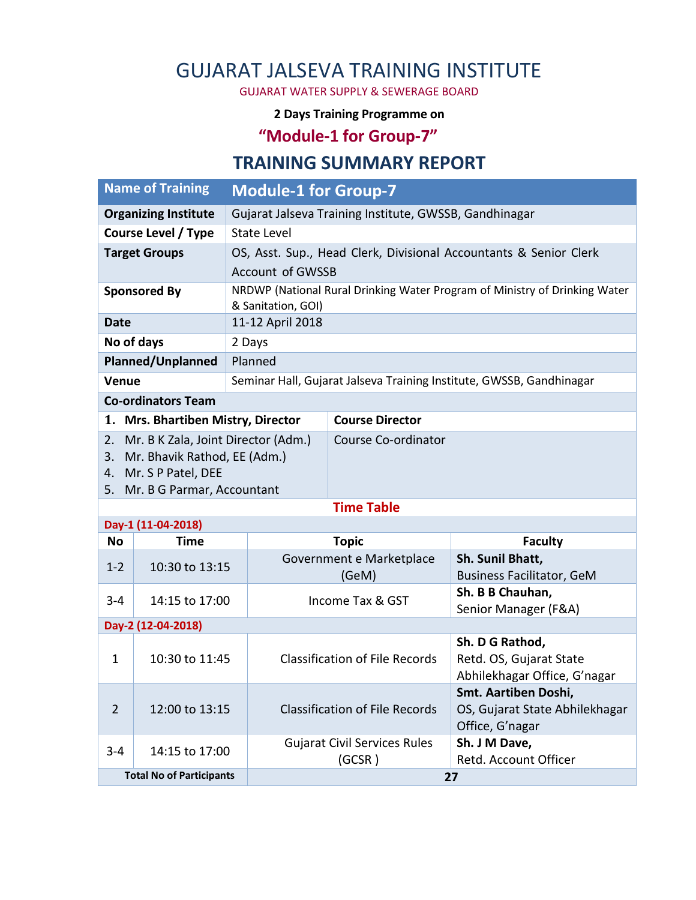# GUJARAT JALSEVA TRAINING INSTITUTE

GUJARAT WATER SUPPLY & SEWERAGE BOARD

#### **2 Days Training Programme on**

## **"Module-1 for Group-7"**

#### **TRAINING SUMMARY REPORT**

| <b>Name of Training</b>                                                                                                                      |                | <b>Module-1 for Group-7</b>                                       |                                                                            |                                                                            |  |
|----------------------------------------------------------------------------------------------------------------------------------------------|----------------|-------------------------------------------------------------------|----------------------------------------------------------------------------|----------------------------------------------------------------------------|--|
| <b>Organizing Institute</b>                                                                                                                  |                | Gujarat Jalseva Training Institute, GWSSB, Gandhinagar            |                                                                            |                                                                            |  |
| <b>Course Level / Type</b>                                                                                                                   |                | <b>State Level</b>                                                |                                                                            |                                                                            |  |
| <b>Target Groups</b>                                                                                                                         |                | OS, Asst. Sup., Head Clerk, Divisional Accountants & Senior Clerk |                                                                            |                                                                            |  |
|                                                                                                                                              |                | <b>Account of GWSSB</b>                                           |                                                                            |                                                                            |  |
| <b>Sponsored By</b>                                                                                                                          |                | & Sanitation, GOI)                                                | NRDWP (National Rural Drinking Water Program of Ministry of Drinking Water |                                                                            |  |
| <b>Date</b>                                                                                                                                  |                | 11-12 April 2018                                                  |                                                                            |                                                                            |  |
| No of days                                                                                                                                   |                | 2 Days                                                            |                                                                            |                                                                            |  |
| Planned/Unplanned                                                                                                                            |                | Planned                                                           |                                                                            |                                                                            |  |
| Venue                                                                                                                                        |                |                                                                   | Seminar Hall, Gujarat Jalseva Training Institute, GWSSB, Gandhinagar       |                                                                            |  |
| <b>Co-ordinators Team</b>                                                                                                                    |                |                                                                   |                                                                            |                                                                            |  |
| 1. Mrs. Bhartiben Mistry, Director                                                                                                           |                |                                                                   | <b>Course Director</b>                                                     |                                                                            |  |
| Mr. B K Zala, Joint Director (Adm.)<br>2.<br>Mr. Bhavik Rathod, EE (Adm.)<br>3.<br>Mr. S P Patel, DEE<br>4.<br>5. Mr. B G Parmar, Accountant |                |                                                                   | Course Co-ordinator                                                        |                                                                            |  |
| <b>Time Table</b>                                                                                                                            |                |                                                                   |                                                                            |                                                                            |  |
| Day-1 (11-04-2018)                                                                                                                           |                |                                                                   |                                                                            |                                                                            |  |
| No                                                                                                                                           | <b>Time</b>    |                                                                   | <b>Topic</b>                                                               | <b>Faculty</b>                                                             |  |
| $1 - 2$                                                                                                                                      | 10:30 to 13:15 |                                                                   | Government e Marketplace<br>(GeM)                                          | Sh. Sunil Bhatt,<br><b>Business Facilitator, GeM</b>                       |  |
| $3 - 4$                                                                                                                                      | 14:15 to 17:00 |                                                                   | Income Tax & GST                                                           | Sh. B B Chauhan,<br>Senior Manager (F&A)                                   |  |
| Day-2 (12-04-2018)                                                                                                                           |                |                                                                   |                                                                            |                                                                            |  |
| $\mathbf{1}$                                                                                                                                 | 10:30 to 11:45 |                                                                   | <b>Classification of File Records</b>                                      | Sh. D G Rathod,<br>Retd. OS, Gujarat State<br>Abhilekhagar Office, G'nagar |  |
| $\overline{2}$                                                                                                                               | 12:00 to 13:15 |                                                                   | <b>Classification of File Records</b>                                      | Smt. Aartiben Doshi,<br>OS, Gujarat State Abhilekhagar<br>Office, G'nagar  |  |
| $3 - 4$                                                                                                                                      | 14:15 to 17:00 |                                                                   | <b>Gujarat Civil Services Rules</b><br>(GCSR)                              | Sh. J M Dave,<br>Retd. Account Officer                                     |  |
| <b>Total No of Participants</b>                                                                                                              |                |                                                                   | 27                                                                         |                                                                            |  |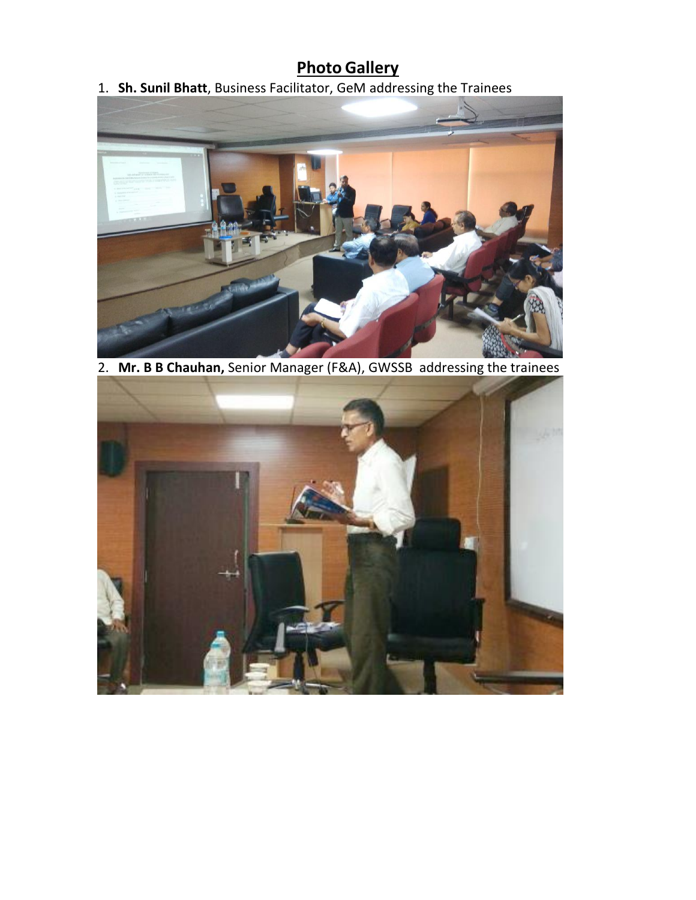## **Photo Gallery**

1. **Sh. Sunil Bhatt**, Business Facilitator, GeM addressing the Trainees



2. **Mr. B B Chauhan,** Senior Manager (F&A), GWSSB addressing the trainees